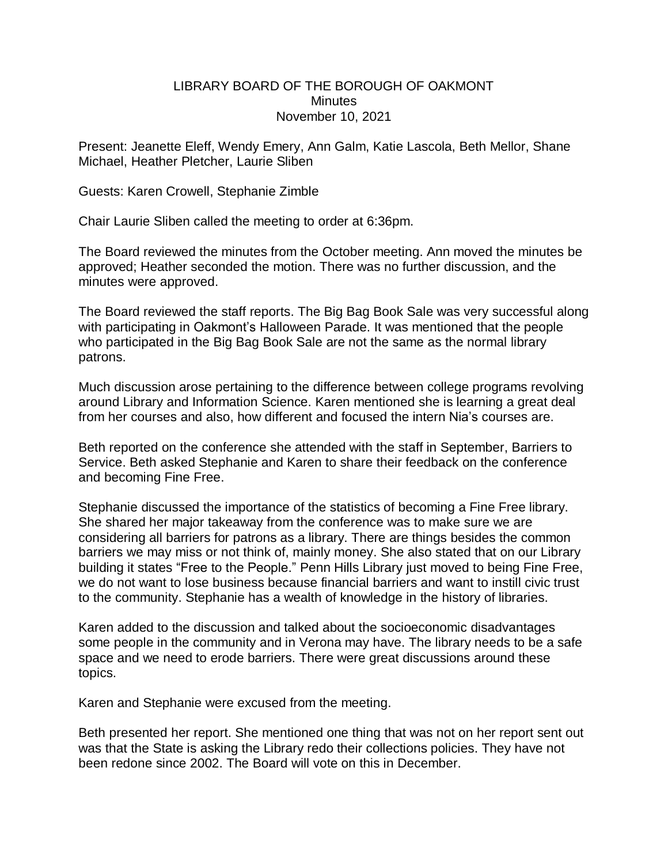## LIBRARY BOARD OF THE BOROUGH OF OAKMONT **Minutes** November 10, 2021

Present: Jeanette Eleff, Wendy Emery, Ann Galm, Katie Lascola, Beth Mellor, Shane Michael, Heather Pletcher, Laurie Sliben

Guests: Karen Crowell, Stephanie Zimble

Chair Laurie Sliben called the meeting to order at 6:36pm.

The Board reviewed the minutes from the October meeting. Ann moved the minutes be approved; Heather seconded the motion. There was no further discussion, and the minutes were approved.

The Board reviewed the staff reports. The Big Bag Book Sale was very successful along with participating in Oakmont's Halloween Parade. It was mentioned that the people who participated in the Big Bag Book Sale are not the same as the normal library patrons.

Much discussion arose pertaining to the difference between college programs revolving around Library and Information Science. Karen mentioned she is learning a great deal from her courses and also, how different and focused the intern Nia's courses are.

Beth reported on the conference she attended with the staff in September, Barriers to Service. Beth asked Stephanie and Karen to share their feedback on the conference and becoming Fine Free.

Stephanie discussed the importance of the statistics of becoming a Fine Free library. She shared her major takeaway from the conference was to make sure we are considering all barriers for patrons as a library. There are things besides the common barriers we may miss or not think of, mainly money. She also stated that on our Library building it states "Free to the People." Penn Hills Library just moved to being Fine Free, we do not want to lose business because financial barriers and want to instill civic trust to the community. Stephanie has a wealth of knowledge in the history of libraries.

Karen added to the discussion and talked about the socioeconomic disadvantages some people in the community and in Verona may have. The library needs to be a safe space and we need to erode barriers. There were great discussions around these topics.

Karen and Stephanie were excused from the meeting.

Beth presented her report. She mentioned one thing that was not on her report sent out was that the State is asking the Library redo their collections policies. They have not been redone since 2002. The Board will vote on this in December.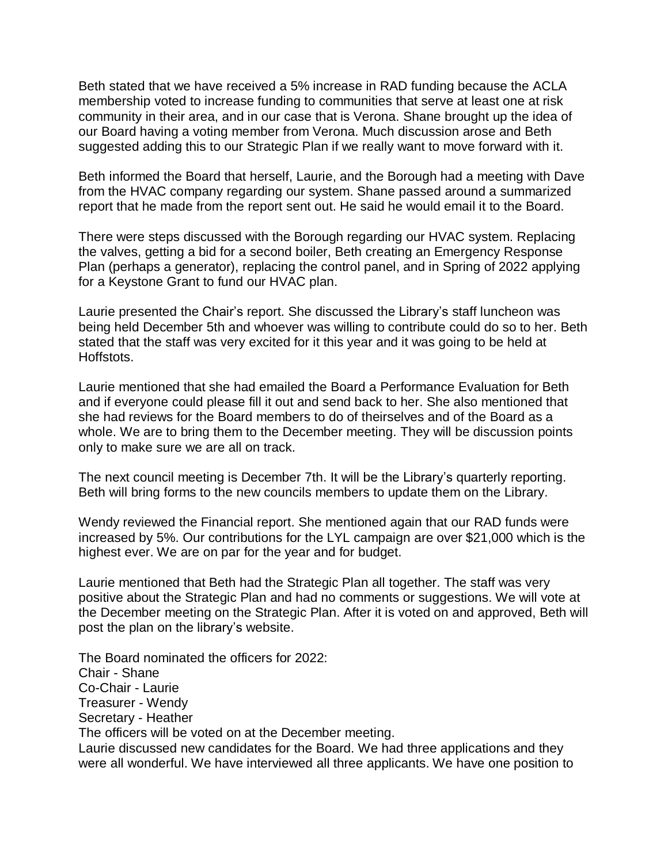Beth stated that we have received a 5% increase in RAD funding because the ACLA membership voted to increase funding to communities that serve at least one at risk community in their area, and in our case that is Verona. Shane brought up the idea of our Board having a voting member from Verona. Much discussion arose and Beth suggested adding this to our Strategic Plan if we really want to move forward with it.

Beth informed the Board that herself, Laurie, and the Borough had a meeting with Dave from the HVAC company regarding our system. Shane passed around a summarized report that he made from the report sent out. He said he would email it to the Board.

There were steps discussed with the Borough regarding our HVAC system. Replacing the valves, getting a bid for a second boiler, Beth creating an Emergency Response Plan (perhaps a generator), replacing the control panel, and in Spring of 2022 applying for a Keystone Grant to fund our HVAC plan.

Laurie presented the Chair's report. She discussed the Library's staff luncheon was being held December 5th and whoever was willing to contribute could do so to her. Beth stated that the staff was very excited for it this year and it was going to be held at Hoffstots.

Laurie mentioned that she had emailed the Board a Performance Evaluation for Beth and if everyone could please fill it out and send back to her. She also mentioned that she had reviews for the Board members to do of theirselves and of the Board as a whole. We are to bring them to the December meeting. They will be discussion points only to make sure we are all on track.

The next council meeting is December 7th. It will be the Library's quarterly reporting. Beth will bring forms to the new councils members to update them on the Library.

Wendy reviewed the Financial report. She mentioned again that our RAD funds were increased by 5%. Our contributions for the LYL campaign are over \$21,000 which is the highest ever. We are on par for the year and for budget.

Laurie mentioned that Beth had the Strategic Plan all together. The staff was very positive about the Strategic Plan and had no comments or suggestions. We will vote at the December meeting on the Strategic Plan. After it is voted on and approved, Beth will post the plan on the library's website.

The Board nominated the officers for 2022: Chair - Shane Co-Chair - Laurie Treasurer - Wendy Secretary - Heather The officers will be voted on at the December meeting. Laurie discussed new candidates for the Board. We had three applications and they were all wonderful. We have interviewed all three applicants. We have one position to